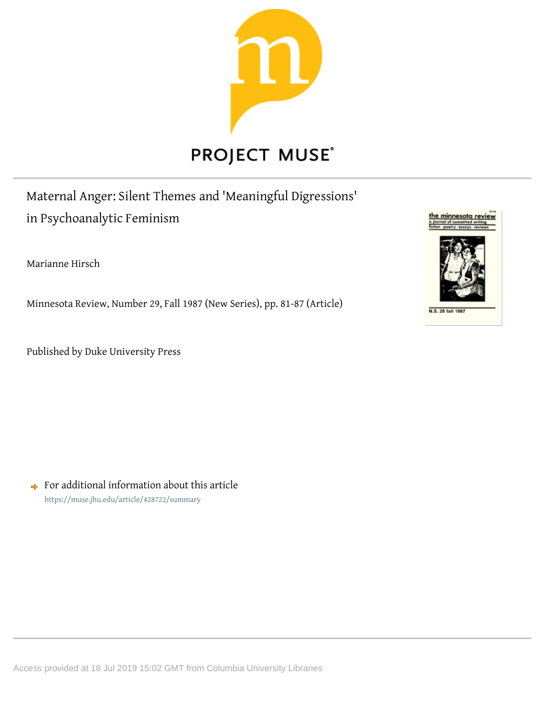

Maternal Anger: Silent Themes and 'Meaningful Digressions' in Psychoanalytic Feminism

Marianne Hirsch

Minnesota Review, Number 29, Fall 1987 (New Series), pp. 81-87 (Article)

Published by Duke University Press



 $\rightarrow$  For additional information about this article <https://muse.jhu.edu/article/428722/summary>

Access provided at 18 Jul 2019 15:02 GMT from Columbia University Libraries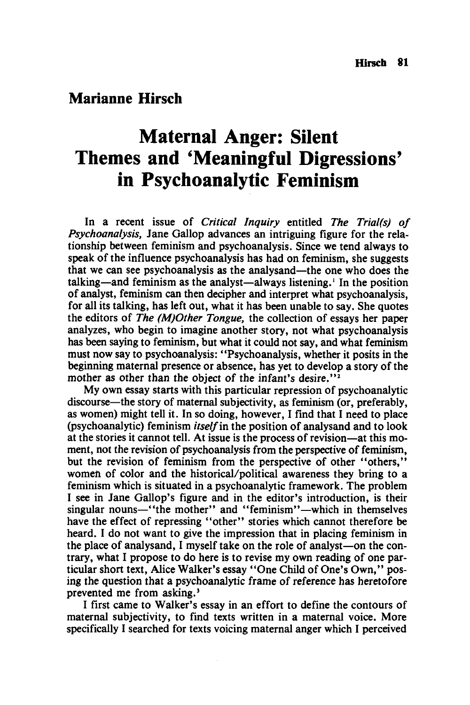## Marianne Hirsch

## Maternal Anger: Silent Themes and 'Meaningful Digressions' in Psychoanalytic Feminism

In a recent issue of Critical Inquiry entitled The Trial(s) of Psychoanalysis, Jane Gallop advances an intriguing figure for the relationship between feminism and psychoanalysis. Since we tend always to that we can see psychoanalysis as the analysand—the one who does the talking—and feminism as the analyst—always listening.' In the position for all its talking, has left out, what it has been unable to say. She quotes the editors of The  $(M)$ Other Tongue, the collection of essays her paper analyzes, who begin to imagine another story, not what psychoanalysis has been saying to feminism, but what it could not say, and what feminism must now say to psychoanalysis: "Psychoanalysis, whether it posits in the beginning maternal presence or absence, has yet to develop a story of the mother as other than the object of the infant's desire."<sup>2</sup>

My own essay starts with this particular repression of psychoanalytic discourse—the story of maternal subjectivity, as feminism (or, preferably, as women) might tell it. In so doing, however, I find that I need to place (psychoanalytic) feminism *itself* in the position of analysand and to look at the stories it cannot tell. At issue is the process of revision—at this moment, not the revision of psychoanalysis from the perspective of feminism, but the revision of feminism from the perspective of other "others," women of color and the historical/political awareness they bring to a feminism which is situated in a psychoanalytic framework. The problem I see in Jane Gallop's figure and in the editor's introduction, is their singular nouns—"the mother" and "feminism"—which in themselves have the effect of repressing "other" stories which cannot therefore be heard. I do not want to give the impression that in placing feminism in the place of analysand, I myself take on the role of analyst—on the contrary, what I propose to do here is to revise my own reading of one par ticular short text, Alice Walker's essay "One Child of One's Own," posing the question that a psychoanalytic frame of reference has heretofore prevented me from asking.<sup>3</sup>

I first came to Walker's essay in an effort to define the contours of maternal subjectivity, to find texts written in a maternal voice. More specifically I searched for texts voicing maternal anger which I perceived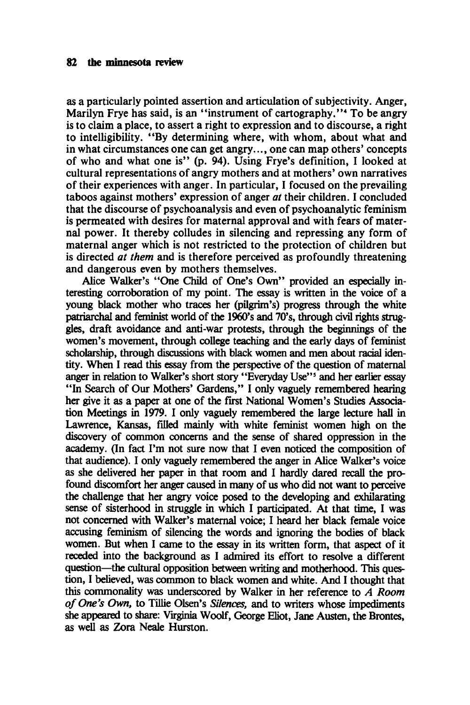as a particularly pointed assertion and articulation of subjectivity. Anger, Marilyn Frye has said, is an "instrument of cartography."4 To be angry is to claim a place, to assert a right to expression and to discourse, a right to intelligibility. "By determining where, with whom, about what and in what circumstances one can get angry..., one can map others' concepts of who and what one is" (p. 94). Using Frye's definition, I looked at cultural representations of angry mothers and at mothers' own narratives of their experiences with anger. In particular, I focused on the prevailing taboos against mothers' expression of anger *at* their children. I concluded that the discourse of psychoanalysis and even of psychoanalytic feminism is permeated with desires for maternal approval and with fears of maternal power. It thereby colludes in silencing and repressing any form of maternal anger which is not restricted to the protection of children but is directed *at them* and is therefore perceived as profoundly threatening and dangerous even by mothers themselves.

Alice Walker's "One Child of One's Own" provided an especially interesting corroboration of my point. The essay is written in the voice of a young black mother who traces her (pilgrim's) progress through the white patriarchal and feminist world of the 1960's and 70's, through civil rights strug gles, draft avoidance and anti-war protests, through the beginnings of the women's movement, through college teaching and the early days of feminist scholarship, through discussions with black women and men about racial identity. When I read this essay from the perspective of the question of maternal anger in relation to Walker's short story "Everyday Use"<sup>5</sup> and her earlier essay "In Search of Our Mothers' Gardens," I only vaguely remembered hearing her give it as a paper at one of the first National Women's Studies Association Meetings in 1979. I only vaguely remembered the large lecture hall in Lawrence, Kansas, filled mainly with white feminist women high on the discovery of common concerns and the sense of shared oppression in the academy. (In fact I'm not sure now that I even noticed the composition of that audience). I only vaguely remembered the anger in Alice Walker's voice as she delivered her paper in that room and I hardly dared recall the pro found discomfort her anger caused in many of us who did not want to perceive the challenge that her angry voice posed to the developing and exhilarating sense of sisterhood in struggle in which I participated. At that time, I was not concerned with Walker's maternal voice; I heard her black female voice accusing feminism of silencing the words and ignoring the bodies of black women. But when I came to the essay in its written form, that aspect of it receded into the background as I admired its effort to resolve a different question—the cultural opposition between writing and motherhood. This ques tion, I believed, was common to black women and white. And I thought that this commonality was underscored by Walker in her reference to A Room of One's Own, to Tillie Olsen's Silences, and to writers whose impediments she appeared to share: Virginia Woolf, George Eliot, Jane Austen, the Brontes, as well as Zora Neale Hurston.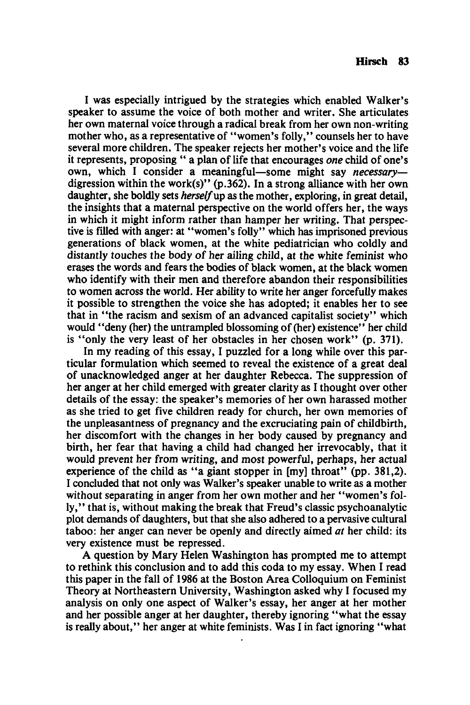I was especially intrigued by the strategies which enabled Walker's speaker to assume the voice of both mother and writer. She articulates her own maternal voice through a radical break from her own non-writing mother who, as a representative of "women's folly," counsels her to have several more children. The speaker rejects her mother's voice and the life it represents, proposing " a plan of life that encourages one child of one's own, which I consider a meaningful—some might say necessary digression within the work(s)" (p.362). In a strong alliance with her own daughter, she boldly sets *herself* up as the mother, exploring, in great detail, the insights that a maternal perspective on the world offers her, the ways in which it might inform rather than hamper her writing. That perspec tive is filled with anger: at "women's folly" which has imprisoned previous generations of black women, at the white pediatrician who coldly and distantly touches the body of her ailing child, at the white feminist who erases the words and fears the bodies of black women, at the black women who identify with their men and therefore abandon their responsibilities to women across the world. Her ability to write her anger forcefully makes it possible to strengthen the voice she has adopted; it enables her to see that in "the racism and sexism of an advanced capitalist society" which would "deny (her) the untrampled blossoming of (her) existence" her child is "only the very least of her obstacles in her chosen work" (p. 371).

In my reading of this essay, I puzzled for a long while over this par ticular formulation which seemed to reveal the existence of a great deal of unacknowledged anger at her daughter Rebecca. The suppression of her anger at her child emerged with greater clarity as I thought over other details of the essay: the speaker's memories of her own harassed mother as she tried to get five children ready for church, her own memories of the unpleasantness of pregnancy and the excruciating pain of childbirth, her discomfort with the changes in her body caused by pregnancy and birth, her fear that having a child had changed her irrevocably, that it would prevent her from writing, and most powerful, perhaps, her actual experience of the child as "a giant stopper in [my] throat" (pp. 381,2). I concluded that not only was Walker's speaker unable to write as a mother without separating in anger from her own mother and her "women's folly," that is, without making the break that Freud's classic psychoanalytic plot demands of daughters, but that she also adhered to a pervasive cultural taboo: her anger can never be openly and directly aimed at her child: its very existence must be repressed.

A question by Mary Helen Washington has prompted me to attempt to rethink this conclusion and to add this coda to my essay. When I read this paper in the fall of 1986 at the Boston Area Colloquium on Feminist Theory at Northeastern University, Washington asked why I focused my analysis on only one aspect of Walker's essay, her anger at her mother and her possible anger at her daughter, thereby ignoring "what the essay is really about," her anger at white feminists. Was I in fact ignoring "what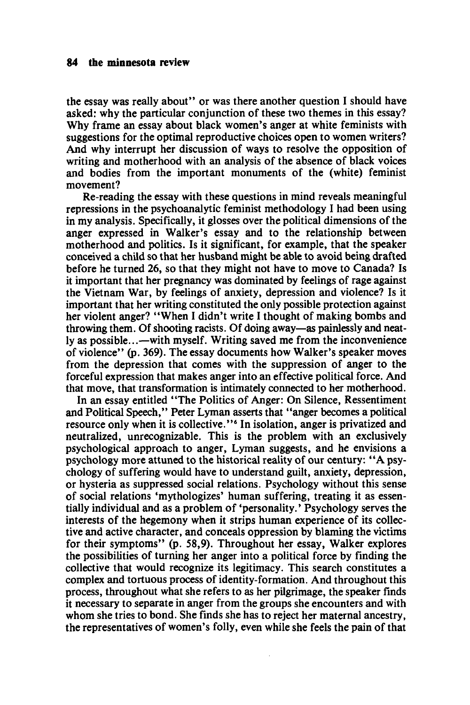the essay was really about" or was there another question I should have asked: why the particular conjunction of these two themes in this essay? Why frame an essay about black women's anger at white feminists with suggestions for the optimal reproductive choices open to women writers? And why interrupt her discussion of ways to resolve the opposition of writing and motherhood with an analysis of the absence of black voices and bodies from the important monuments of the (white) feminist movement?

Re-reading the essay with these questions in mind reveals meaningful repressions in the psychoanalytic feminist methodology I had been using in my analysis. Specifically, it glosses over the political dimensions of the anger expressed in Walker's essay and to the relationship between motherhood and politics. Is it significant, for example, that the speaker conceived a child so that her husband might be able to avoid being drafted before he turned 26, so that they might not have to move to Canada? Is it important that her pregnancy was dominated by feelings of rage against the Vietnam War, by feelings of anxiety, depression and violence? Is it important that her writing constituted the only possible protection against her violent anger? "When I didn't write I thought of making bombs and throwing them. Of shooting racists. Of doing away—as painlessly and neatly as possible...—with myself. Writing saved me from the inconvenience of violence" (p. 369). The essay documents how Walker's speaker moves from the depression that comes with the suppression of anger to the forceful expression that makes anger into an effective political force. And that move, that transformation is intimately connected to her motherhood.

In an essay entitled "The Politics of Anger: On Silence, Ressentiment and Political Speech," Peter Lyman asserts that "anger becomes a political resource only when it is collective."<sup>6</sup> In isolation, anger is privatized and neutralized, unrecognizable. This is the problem with an exclusively psychological approach to anger, Lyman suggests, and he envisions a chology of suffering would have to understand guilt, anxiety, depression, or hysteria as suppressed social relations. Psychology without this sense of social relations 'mythologizes' human suffering, treating it as essentially individual and as a problem of 'personality.' Psychology serves the interests of the hegemony when it strips human experience of its collective and active character, and conceals oppression by blaming the victims for their symptoms" (p. 58,9). Throughout her essay, Walker explores the possibilities of turning her anger into a political force by finding the collective that would recognize its legitimacy. This search constitutes a complex and tortuous process of identity-formation. And throughout this process, throughout what she refers to as her pilgrimage, the speaker finds it necessary to separate in anger from the groups she encounters and with whom she tries to bond. She finds she has to reject her maternal ancestry, the representatives of women's folly, even while she feels the pain of that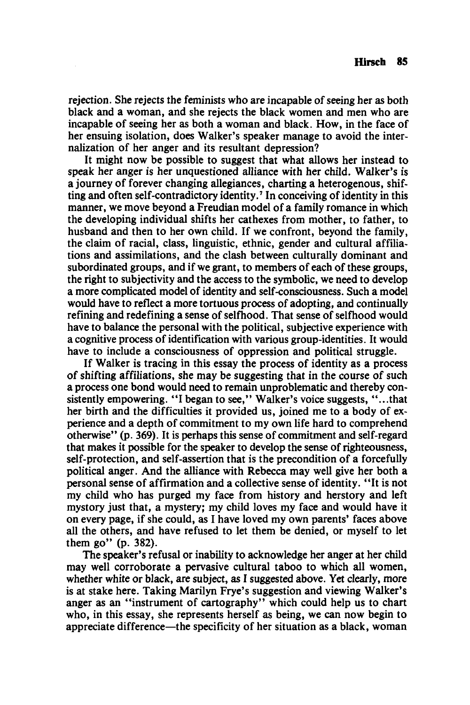rejection. She rejects the feminists who are incapable of seeing her as both black and a woman, and she rejects the black women and men who are incapable of seeing her as both a woman and black. How, in the face of her ensuing isolation, does Walker's speaker manage to avoid the internalization of her anger and its resultant depression?

It might now be possible to suggest that what allows her instead to speak her anger is her unquestioned alliance with her child. Walker's is a journey of forever changing allegiances, charting a heterogenous, shifting and often self-contradictory identity.7 In conceiving of identity in this manner, we move beyond a Freudian model of a family romance in which the developing individual shifts her cathexes from mother, to father, to husband and then to her own child. If we confront, beyond the family, the claim of racial, class, linguistic, ethnic, gender and cultural affiliations and assimilations, and the clash between culturally dominant and subordinated groups, and if we grant, to members of each of these groups, the right to subjectivity and the access to the symbolic, we need to develop a more complicated model of identity and self-consciousness. Such a model would have to reflect a more tortuous process of adopting, and continually refining and redefining a sense of selfhood. That sense of selfhood would have to balance the personal with the political, subjective experience with a cognitive process of identification with various group-identities. It would

If Walker is tracing in this essay the process of identity as a process of shifting affiliations, she may be suggesting that in the course of such a process one bond would need to remain unproblematic and thereby consistently empowering. "I began to see," Walker's voice suggests, "...that her birth and the difficulties it provided us, joined me to a body of experience and a depth of commitment to my own life hard to comprehend otherwise" (p. 369). It is perhaps this sense of commitment and self-regard that makes it possible for the speaker to develop the sense of righteousness, self-protection, and self-assertion that is the precondition of a forcefully political anger. And the alliance with Rebecca may well give her both a personal sense of affirmation and a collective sense of identity. "It is not my child who has purged my face from history and herstory and left mystory just that, a mystery; my child loves my face and would have it on every page, if she could, as I have loved my own parents' faces above all the others, and have refused to let them be denied, or myself to let them go" (p. 382).

The speaker's refusal or inability to acknowledge her anger at her child may well corroborate a pervasive cultural taboo to which all women, whether white or black, are subject, as I suggested above. Yet clearly, more is at stake here. Taking Marilyn Frye's suggestion and viewing Walker's anger as an "instrument of cartography" which could help us to chart who, in this essay, she represents herself as being, we can now begin to appreciate difference—the specificity of her situation as a black, woman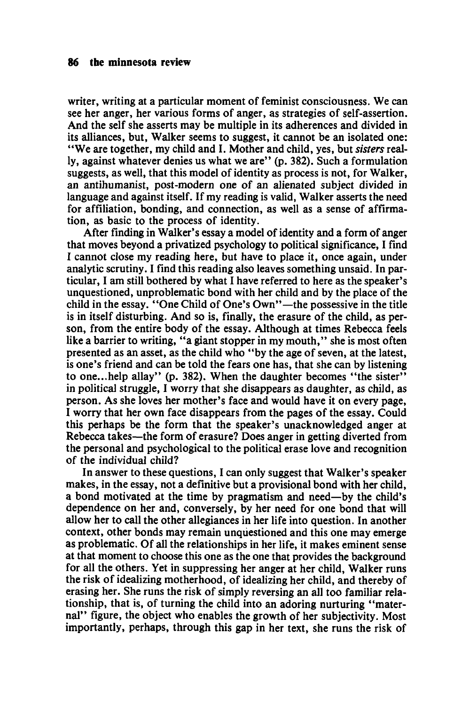writer, writing at a particular moment of feminist consciousness. We can see her anger, her various forms of anger, as strategies of self-assertion. And the self she asserts may be multiple in its adhérences and divided in its alliances, but, Walker seems to suggest, it cannot be an isolated one: "We are together, my child and I, Mother and child, yes, but *sisters* really, against whatever denies us what we are" (p. 382). Such a formulation suggests, as well, that this model of identity as process is not, for Walker, an antihumanist, post-modern one of an alienated subject divided in language and against itself. If my reading is valid, Walker asserts the need for affiliation, bonding, and connection, as well as a sense of affirmation, as basic to the process of identity.<br>After finding in Walker's essay a model of identity and a form of anger

that moves beyond a privatized psychology to political significance, I find I cannot close my reading here, but have to place it, once again, under analytic scrutiny. I find this reading also leaves something unsaid. In par ticular, I am still bothered by what I have referred to here as the speaker's unquestioned, unproblematic bond with her child and by the place of the child in the essay. "One Child of One's Own"—the possessive in the title is in itself disturbing. And so is, finally, the erasure of the child, as person, from the entire body of the essay. Although at times Rebecca feels like a barrier to writing, "a giant stopper in my mouth," she is most often presented as an asset, as the child who "by the age of seven, at the latest, is one's friend and can be told the fears one has, that she can by listening to one.. .help allay" (p. 382). When the daughter becomes "the sister" in political struggle, I worry that she disappears as daughter, as child, as person. As she loves her mother's face and would have it on every page, I worry that her own face disappears from the pages of the essay. Could this perhaps be the form that the speaker's unacknowledged anger at Rebecca takes—the form of erasure? Does anger in getting diverted from the personal and psychological to the political erase love and recognition of the individual child?

In answer to these questions, I can only suggest that Walker's speaker makes, in the essay, not a definitive but a provisional bond with her child, a bond motivated at the time by pragmatism and need—by the child's dependence on her and, conversely, by her need for one bond that will allow her to call the other allegiances in her life into question. In another context, other bonds may remain unquestioned and this one may emerge as problematic. Of all the relationships in her life, it makes eminent sense at that moment to choose this one as the one that provides the background for all the others. Yet in suppressing her anger at her child, Walker runs the risk of idealizing motherhood, of idealizing her child, and thereby of erasing her. She runs the risk of simply reversing an all too familiar relationship, that is, of turning the child into an adoring nurturing "maternal" figure, the object who enables the growth of her subjectivity. Most importantly, perhaps, through this gap in her text, she runs the risk of